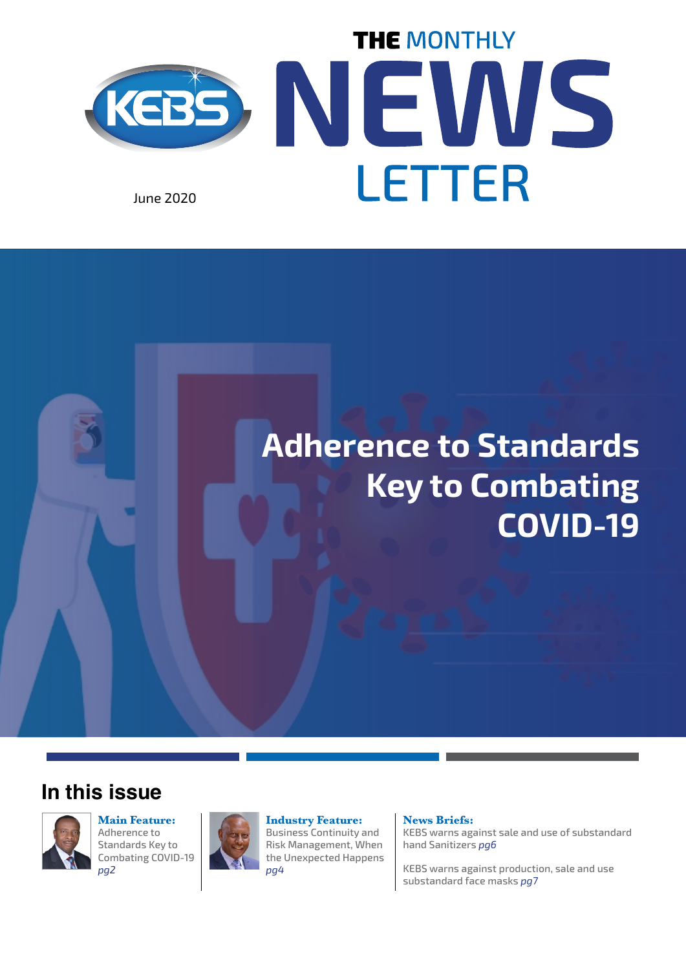

## **Adherence to Standards Key to Combating COVID-19**

#### **In this issue**



**Main Feature:** Adherence to Standards Key to Combating COVID-19 *pg2*



**Industry Feature:** Business Continuity and Risk Management, When the Unexpected Happens *pg4*

#### **News Briefs:**

KEBS warns against sale and use of substandard hand Sanitizers *pg6*

KEBS warns against production, sale and use substandard face masks *pg7*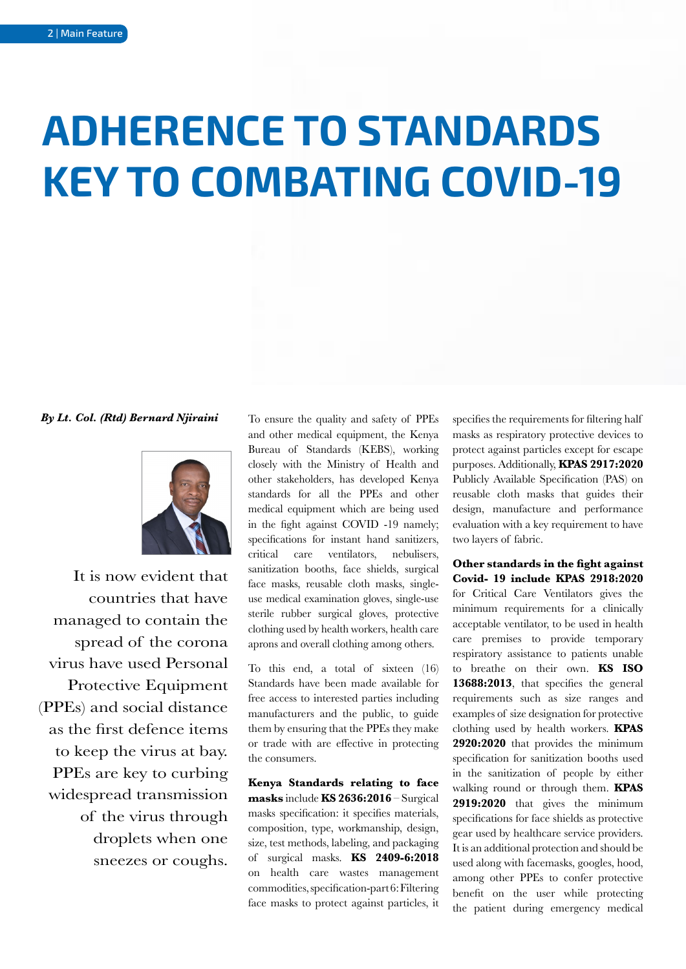# **ADHERENCE TO STANDARDS KEY TO COMBATING COVID-19**

*By Lt. Col. (Rtd) Bernard Njiraini*



It is now evident that countries that have managed to contain the spread of the corona virus have used Personal Protective Equipment (PPEs) and social distance as the first defence items to keep the virus at bay. PPEs are key to curbing widespread transmission of the virus through droplets when one sneezes or coughs.

To ensure the quality and safety of PPEs and other medical equipment, the Kenya Bureau of Standards (KEBS), working closely with the Ministry of Health and other stakeholders, has developed Kenya standards for all the PPEs and other medical equipment which are being used in the fight against COVID -19 namely; specifications for instant hand sanitizers, critical care ventilators, nebulisers, sanitization booths, face shields, surgical face masks, reusable cloth masks, singleuse medical examination gloves, single-use sterile rubber surgical gloves, protective clothing used by health workers, health care aprons and overall clothing among others.

To this end, a total of sixteen (16) Standards have been made available for free access to interested parties including manufacturers and the public, to guide them by ensuring that the PPEs they make or trade with are effective in protecting the consumers.

**Kenya Standards relating to face masks** include **KS 2636:2016** – Surgical masks specification: it specifies materials, composition, type, workmanship, design, size, test methods, labeling, and packaging of surgical masks. **KS 2409-6:2018** on health care wastes management commodities, specification-part 6: Filtering face masks to protect against particles, it

specifies the requirements for filtering half masks as respiratory protective devices to protect against particles except for escape purposes. Additionally, **KPAS 2917:2020** Publicly Available Specification (PAS) on reusable cloth masks that guides their design, manufacture and performance evaluation with a key requirement to have two layers of fabric.

**Other standards in the fight against Covid- 19 include KPAS 2918:2020** for Critical Care Ventilators gives the minimum requirements for a clinically acceptable ventilator, to be used in health care premises to provide temporary respiratory assistance to patients unable to breathe on their own. **KS ISO 13688:2013**, that specifies the general requirements such as size ranges and examples of size designation for protective clothing used by health workers. **KPAS 2920:2020** that provides the minimum specification for sanitization booths used in the sanitization of people by either walking round or through them. **KPAS 2919:2020** that gives the minimum specifications for face shields as protective gear used by healthcare service providers. It is an additional protection and should be used along with facemasks, googles, hood, among other PPEs to confer protective benefit on the user while protecting the patient during emergency medical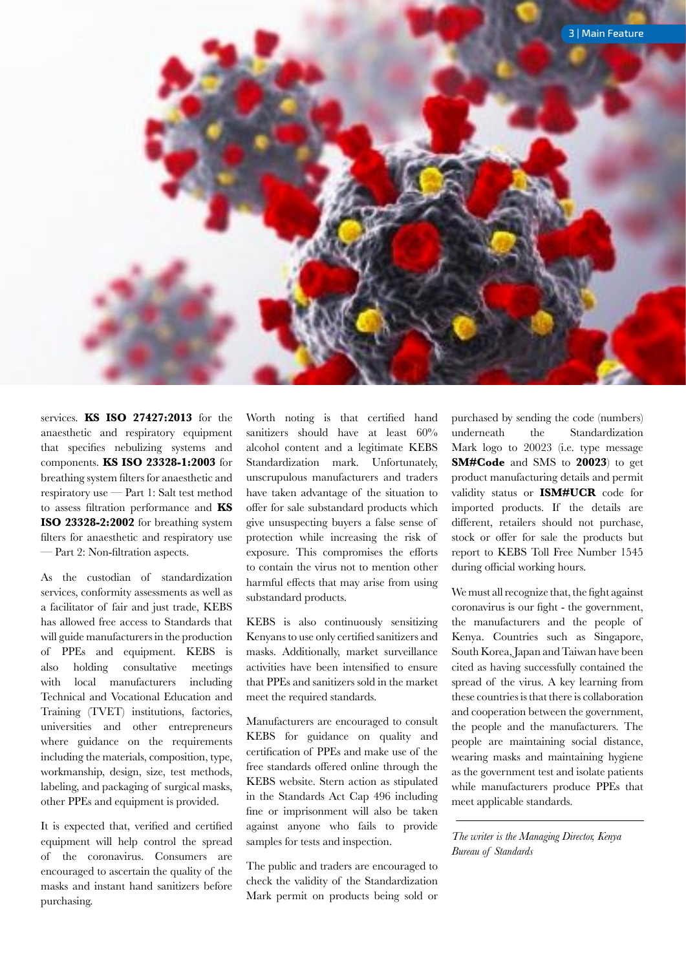

services. **KS ISO 27427:2013** for the anaesthetic and respiratory equipment that specifies nebulizing systems and components. **KS ISO 23328-1:2003** for breathing system filters for anaesthetic and respiratory use — Part 1: Salt test method to assess filtration performance and **KS ISO 23328-2:2002** for breathing system filters for anaesthetic and respiratory use — Part 2: Non-filtration aspects.

As the custodian of standardization services, conformity assessments as well as a facilitator of fair and just trade, KEBS has allowed free access to Standards that will guide manufacturers in the production of PPEs and equipment. KEBS is also holding consultative meetings with local manufacturers including Technical and Vocational Education and Training (TVET) institutions, factories, universities and other entrepreneurs where guidance on the requirements including the materials, composition, type, workmanship, design, size, test methods, labeling, and packaging of surgical masks, other PPEs and equipment is provided.

It is expected that, verified and certified equipment will help control the spread of the coronavirus. Consumers are encouraged to ascertain the quality of the masks and instant hand sanitizers before purchasing.

Worth noting is that certified hand sanitizers should have at least 60% alcohol content and a legitimate KEBS Standardization mark. Unfortunately, unscrupulous manufacturers and traders have taken advantage of the situation to offer for sale substandard products which give unsuspecting buyers a false sense of protection while increasing the risk of exposure. This compromises the efforts to contain the virus not to mention other harmful effects that may arise from using substandard products.

KEBS is also continuously sensitizing Kenyans to use only certified sanitizers and masks. Additionally, market surveillance activities have been intensified to ensure that PPEs and sanitizers sold in the market meet the required standards.

Manufacturers are encouraged to consult KEBS for guidance on quality and certification of PPEs and make use of the free standards offered online through the KEBS website. Stern action as stipulated in the Standards Act Cap 496 including fine or imprisonment will also be taken against anyone who fails to provide samples for tests and inspection.

The public and traders are encouraged to check the validity of the Standardization Mark permit on products being sold or purchased by sending the code (numbers) underneath the Standardization Mark logo to 20023 (i.e. type message **SM#Code** and SMS to **20023**) to get product manufacturing details and permit validity status or **ISM#UCR** code for imported products. If the details are different, retailers should not purchase, stock or offer for sale the products but report to KEBS Toll Free Number 1545 during official working hours.

We must all recognize that, the fight against coronavirus is our fight - the government, the manufacturers and the people of Kenya. Countries such as Singapore, South Korea, Japan and Taiwan have been cited as having successfully contained the spread of the virus. A key learning from these countries is that there is collaboration and cooperation between the government, the people and the manufacturers. The people are maintaining social distance, wearing masks and maintaining hygiene as the government test and isolate patients while manufacturers produce PPEs that meet applicable standards.

*The writer is the Managing Director, Kenya Bureau of Standards*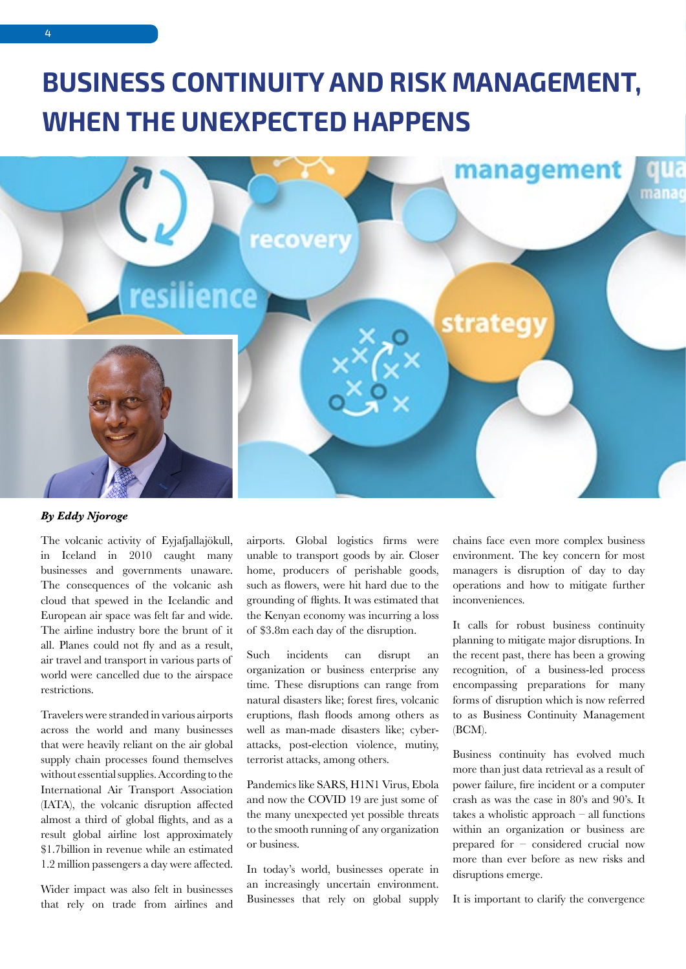## **BUSINESS CONTINUITY AND RISK MANAGEMENT, WHEN THE UNEXPECTED HAPPENS**



#### *By Eddy Njoroge*

The volcanic activity of Eyjafjallajökull, in Iceland in 2010 caught many businesses and governments unaware. The consequences of the volcanic ash cloud that spewed in the Icelandic and European air space was felt far and wide. The airline industry bore the brunt of it all. Planes could not fly and as a result, air travel and transport in various parts of world were cancelled due to the airspace restrictions.

Travelers were stranded in various airports across the world and many businesses that were heavily reliant on the air global supply chain processes found themselves without essential supplies. According to the International Air Transport Association (IATA), the volcanic disruption affected almost a third of global flights, and as a result global airline lost approximately \$1.7billion in revenue while an estimated 1.2 million passengers a day were affected.

Wider impact was also felt in businesses that rely on trade from airlines and airports. Global logistics firms were unable to transport goods by air. Closer home, producers of perishable goods, such as flowers, were hit hard due to the grounding of flights. It was estimated that the Kenyan economy was incurring a loss of \$3.8m each day of the disruption.

Such incidents can disrupt an organization or business enterprise any time. These disruptions can range from natural disasters like; forest fires, volcanic eruptions, flash floods among others as well as man-made disasters like; cyberattacks, post-election violence, mutiny, terrorist attacks, among others.

Pandemics like SARS, H1N1 Virus, Ebola and now the COVID 19 are just some of the many unexpected yet possible threats to the smooth running of any organization or business.

In today's world, businesses operate in an increasingly uncertain environment. Businesses that rely on global supply chains face even more complex business environment. The key concern for most managers is disruption of day to day operations and how to mitigate further inconveniences.

It calls for robust business continuity planning to mitigate major disruptions. In the recent past, there has been a growing recognition, of a business-led process encompassing preparations for many forms of disruption which is now referred to as Business Continuity Management (BCM).

Business continuity has evolved much more than just data retrieval as a result of power failure, fire incident or a computer crash as was the case in 80's and 90's. It takes a wholistic approach – all functions within an organization or business are prepared for – considered crucial now more than ever before as new risks and disruptions emerge.

It is important to clarify the convergence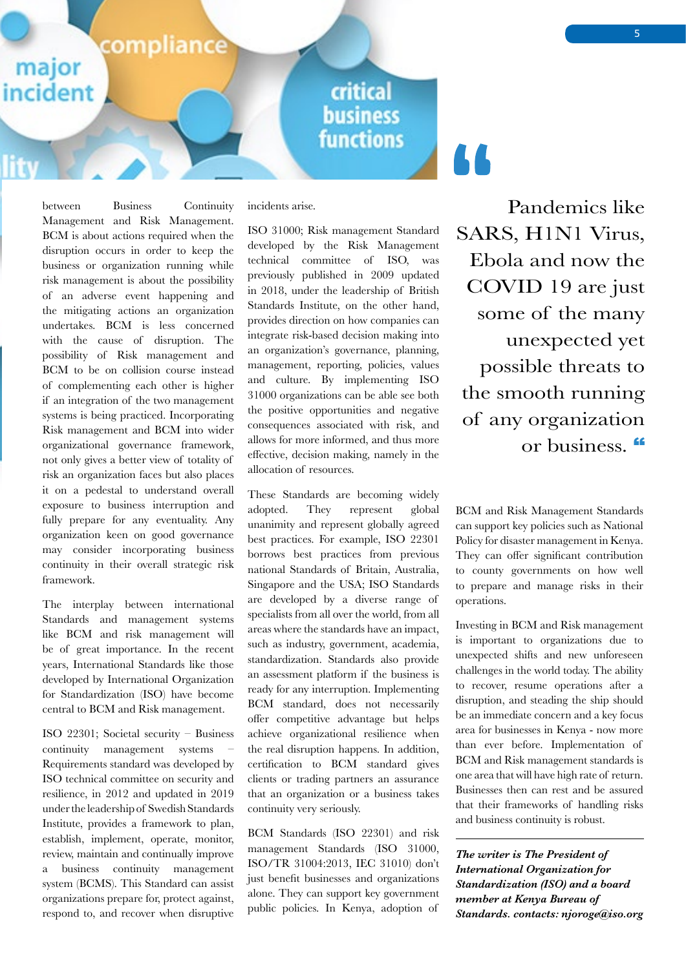#### compliance

major

incident

### critical **business functions**

between Business Continuity Management and Risk Management. BCM is about actions required when the disruption occurs in order to keep the business or organization running while risk management is about the possibility of an adverse event happening and the mitigating actions an organization undertakes. BCM is less concerned with the cause of disruption. The possibility of Risk management and BCM to be on collision course instead of complementing each other is higher if an integration of the two management systems is being practiced. Incorporating Risk management and BCM into wider organizational governance framework, not only gives a better view of totality of risk an organization faces but also places it on a pedestal to understand overall exposure to business interruption and fully prepare for any eventuality. Any organization keen on good governance may consider incorporating business continuity in their overall strategic risk framework.

The interplay between international Standards and management systems like BCM and risk management will be of great importance. In the recent years, International Standards like those developed by International Organization for Standardization (ISO) have become central to BCM and Risk management.

ISO 22301; Societal security – Business continuity management systems – Requirements standard was developed by ISO technical committee on security and resilience, in 2012 and updated in 2019 under the leadership of Swedish Standards Institute, provides a framework to plan, establish, implement, operate, monitor, review, maintain and continually improve a business continuity management system (BCMS). This Standard can assist organizations prepare for, protect against, respond to, and recover when disruptive incidents arise.

ISO 31000; Risk management Standard developed by the Risk Management technical committee of ISO, was previously published in 2009 updated in 2018, under the leadership of British Standards Institute, on the other hand, provides direction on how companies can integrate risk-based decision making into an organization's governance, planning, management, reporting, policies, values and culture. By implementing ISO 31000 organizations can be able see both the positive opportunities and negative consequences associated with risk, and allows for more informed, and thus more effective, decision making, namely in the allocation of resources.

These Standards are becoming widely adopted. They represent global unanimity and represent globally agreed best practices. For example, ISO 22301 borrows best practices from previous national Standards of Britain, Australia, Singapore and the USA; ISO Standards are developed by a diverse range of specialists from all over the world, from all areas where the standards have an impact, such as industry, government, academia, standardization. Standards also provide an assessment platform if the business is ready for any interruption. Implementing BCM standard, does not necessarily offer competitive advantage but helps achieve organizational resilience when the real disruption happens. In addition, certification to BCM standard gives clients or trading partners an assurance that an organization or a business takes continuity very seriously.

BCM Standards (ISO 22301) and risk management Standards (ISO 31000, ISO/TR 31004:2013, IEC 31010) don't just benefit businesses and organizations alone. They can support key government public policies. In Kenya, adoption of

Pandemics like SARS, H1N1 Virus, Ebola and now the COVID 19 are just some of the many unexpected yet possible threats to the smooth running of any organization or business.

AA.

BCM and Risk Management Standards can support key policies such as National Policy for disaster management in Kenya. They can offer significant contribution to county governments on how well to prepare and manage risks in their operations.

Investing in BCM and Risk management is important to organizations due to unexpected shifts and new unforeseen challenges in the world today. The ability to recover, resume operations after a disruption, and steading the ship should be an immediate concern and a key focus area for businesses in Kenya - now more than ever before. Implementation of BCM and Risk management standards is one area that will have high rate of return. Businesses then can rest and be assured that their frameworks of handling risks and business continuity is robust.

*The writer is The President of International Organization for Standardization (ISO) and a board member at Kenya Bureau of Standards. contacts: njoroge@iso.org*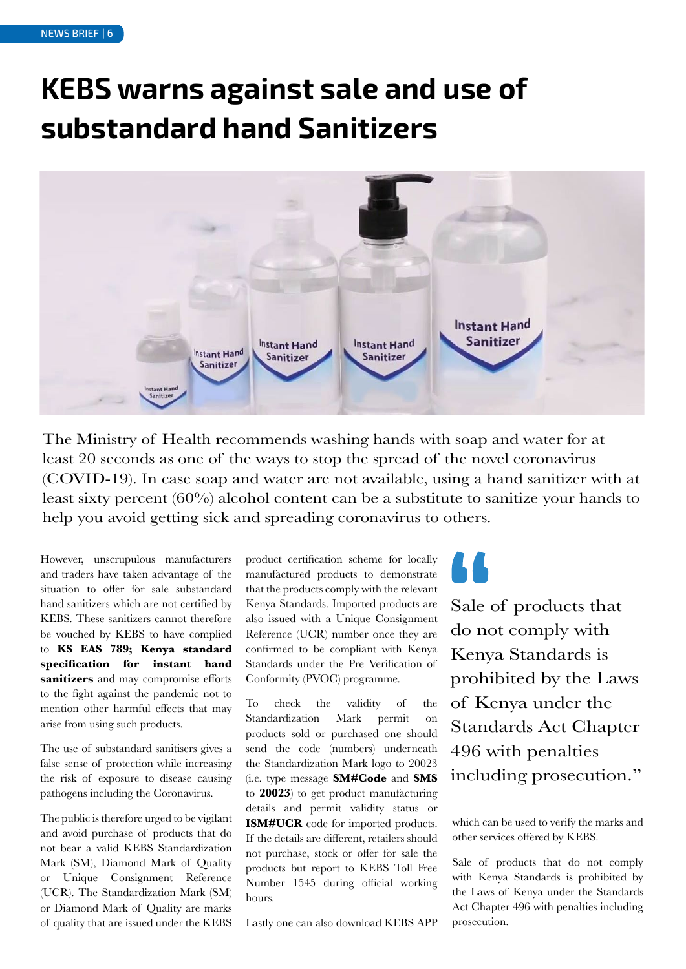## **KEBS warns against sale and use of substandard hand Sanitizers**



The Ministry of Health recommends washing hands with soap and water for at least 20 seconds as one of the ways to stop the spread of the novel coronavirus (COVID-19). In case soap and water are not available, using a hand sanitizer with at least sixty percent (60%) alcohol content can be a substitute to sanitize your hands to help you avoid getting sick and spreading coronavirus to others.

However, unscrupulous manufacturers and traders have taken advantage of the situation to offer for sale substandard hand sanitizers which are not certified by KEBS. These sanitizers cannot therefore be vouched by KEBS to have complied to **KS EAS 789; Kenya standard specification for instant hand sanitizers** and may compromise efforts to the fight against the pandemic not to mention other harmful effects that may arise from using such products.

The use of substandard sanitisers gives a false sense of protection while increasing the risk of exposure to disease causing pathogens including the Coronavirus.

The public is therefore urged to be vigilant and avoid purchase of products that do not bear a valid KEBS Standardization Mark (SM), Diamond Mark of Quality or Unique Consignment Reference (UCR). The Standardization Mark (SM) or Diamond Mark of Quality are marks of quality that are issued under the KEBS

product certification scheme for locally manufactured products to demonstrate that the products comply with the relevant Kenya Standards. Imported products are also issued with a Unique Consignment Reference (UCR) number once they are confirmed to be compliant with Kenya Standards under the Pre Verification of Conformity (PVOC) programme.

To check the validity of the Standardization Mark permit on products sold or purchased one should send the code (numbers) underneath the Standardization Mark logo to 20023 (i.e. type message **SM#Code** and **SMS**  to **20023**) to get product manufacturing details and permit validity status or **ISM#UCR** code for imported products. If the details are different, retailers should not purchase, stock or offer for sale the products but report to KEBS Toll Free Number 1545 during official working hours.

Lastly one can also download KEBS APP

Sale of products that do not comply with Kenya Standards is prohibited by the Laws of Kenya under the Standards Act Chapter 496 with penalties including prosecution."

which can be used to verify the marks and other services offered by KEBS.

Sale of products that do not comply with Kenya Standards is prohibited by the Laws of Kenya under the Standards Act Chapter 496 with penalties including prosecution.